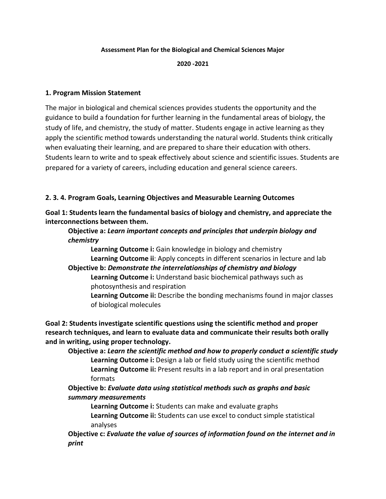### **Assessment Plan for the Biological and Chemical Sciences Major**

#### **2020 -2021**

### **1. Program Mission Statement**

The major in biological and chemical sciences provides students the opportunity and the guidance to build a foundation for further learning in the fundamental areas of biology, the study of life, and chemistry, the study of matter. Students engage in active learning as they apply the scientific method towards understanding the natural world. Students think critically when evaluating their learning, and are prepared to share their education with others. Students learn to write and to speak effectively about science and scientific issues. Students are prepared for a variety of careers, including education and general science careers.

### **2. 3. 4. Program Goals, Learning Objectives and Measurable Learning Outcomes**

**Goal 1: Students learn the fundamental basics of biology and chemistry, and appreciate the interconnections between them.**

### **Objective a:** *Learn important concepts and principles that underpin biology and chemistry*

**Learning Outcome i:** Gain knowledge in biology and chemistry **Learning Outcome ii**: Apply concepts in different scenarios in lecture and lab

#### **Objective b:** *Demonstrate the interrelationships of chemistry and biology* **Learning Outcome i:** Understand basic biochemical pathways such as

photosynthesis and respiration

**Learning Outcome ii:** Describe the bonding mechanisms found in major classes of biological molecules

**Goal 2: Students investigate scientific questions using the scientific method and proper research techniques, and learn to evaluate data and communicate their results both orally and in writing, using proper technology.**

**Objective a:** *Learn the scientific method and how to properly conduct a scientific study* **Learning Outcome i:** Design a lab or field study using the scientific method **Learning Outcome ii:** Present results in a lab report and in oral presentation formats

## **Objective b:** *Evaluate data using statistical methods such as graphs and basic summary measurements*

**Learning Outcome i:** Students can make and evaluate graphs **Learning Outcome ii:** Students can use excel to conduct simple statistical analyses

**Objective c:** *Evaluate the value of sources of information found on the internet and in print*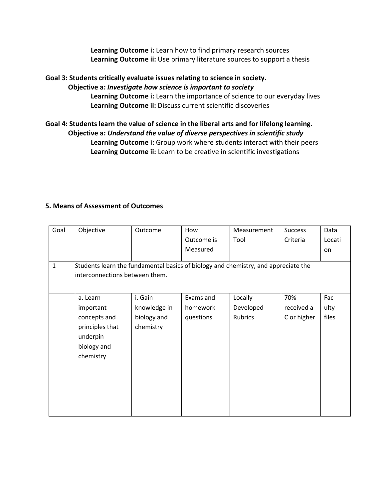**Learning Outcome i:** Learn how to find primary research sources **Learning Outcome ii:** Use primary literature sources to support a thesis

### **Goal 3: Students critically evaluate issues relating to science in society.**

### **Objective a:** *Investigate how science is important to society*

**Learning Outcome i:** Learn the importance of science to our everyday lives **Learning Outcome ii:** Discuss current scientific discoveries

# **Goal 4: Students learn the value of science in the liberal arts and for lifelong learning. Objective a:** *Understand the value of diverse perspectives in scientific study* **Learning Outcome i:** Group work where students interact with their peers **Learning Outcome ii:** Learn to be creative in scientific investigations

## **5. Means of Assessment of Outcomes**

| Goal         | Objective                                                                                                            | Outcome                  | How        | Measurement | <b>Success</b> | Data   |  |  |
|--------------|----------------------------------------------------------------------------------------------------------------------|--------------------------|------------|-------------|----------------|--------|--|--|
|              |                                                                                                                      |                          | Outcome is | Tool        | Criteria       | Locati |  |  |
|              |                                                                                                                      |                          | Measured   |             |                | on     |  |  |
| $\mathbf{1}$ | Students learn the fundamental basics of biology and chemistry, and appreciate the<br>interconnections between them. |                          |            |             |                |        |  |  |
|              | a. Learn                                                                                                             | i. Gain                  | Exams and  | Locally     | 70%            | Fac    |  |  |
|              | important                                                                                                            | knowledge in             | homework   | Developed   | received a     | ulty   |  |  |
|              | concepts and<br>principles that<br>underpin<br>biology and<br>chemistry                                              | biology and<br>chemistry | questions  | Rubrics     | C or higher    | files  |  |  |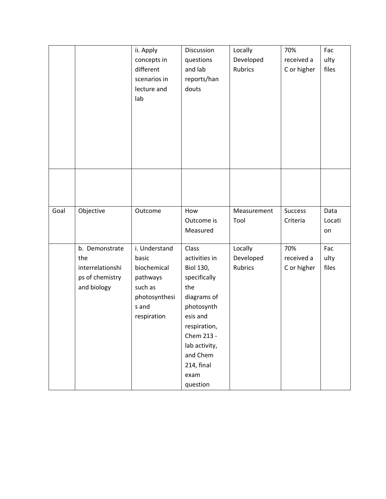|      |                                                                             | ii. Apply<br>concepts in<br>different<br>scenarios in<br>lecture and<br>lab                           | Discussion<br>questions<br>and lab<br>reports/han<br>douts                                                                                                                                              | Locally<br>Developed<br><b>Rubrics</b> | 70%<br>received a<br>C or higher | Fac<br>ulty<br>files |
|------|-----------------------------------------------------------------------------|-------------------------------------------------------------------------------------------------------|---------------------------------------------------------------------------------------------------------------------------------------------------------------------------------------------------------|----------------------------------------|----------------------------------|----------------------|
|      |                                                                             |                                                                                                       |                                                                                                                                                                                                         |                                        |                                  |                      |
| Goal | Objective                                                                   | Outcome                                                                                               | How<br>Outcome is<br>Measured                                                                                                                                                                           | Measurement<br>Tool                    | <b>Success</b><br>Criteria       | Data<br>Locati<br>on |
|      | b. Demonstrate<br>the<br>interrelationshi<br>ps of chemistry<br>and biology | i. Understand<br>basic<br>biochemical<br>pathways<br>such as<br>photosynthesi<br>s and<br>respiration | Class<br>activities in<br><b>Biol 130,</b><br>specifically<br>the<br>diagrams of<br>photosynth<br>esis and<br>respiration,<br>Chem 213 -<br>lab activity,<br>and Chem<br>214, final<br>exam<br>question | Locally<br>Developed<br><b>Rubrics</b> | 70%<br>received a<br>C or higher | Fac<br>ulty<br>files |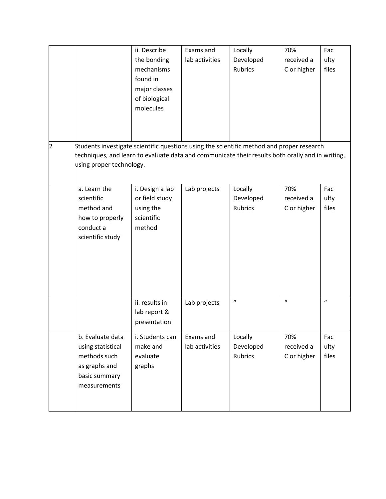|   |                                                                                                                                                                                                                           | ii. Describe<br>the bonding                                            | Exams and<br>lab activities | Locally<br>Developed                   | 70%<br>received a                | Fac<br>ulty                |
|---|---------------------------------------------------------------------------------------------------------------------------------------------------------------------------------------------------------------------------|------------------------------------------------------------------------|-----------------------------|----------------------------------------|----------------------------------|----------------------------|
|   |                                                                                                                                                                                                                           | mechanisms<br>found in<br>major classes<br>of biological<br>molecules  |                             | <b>Rubrics</b>                         | C or higher                      | files                      |
| 2 | Students investigate scientific questions using the scientific method and proper research<br>techniques, and learn to evaluate data and communicate their results both orally and in writing,<br>using proper technology. |                                                                        |                             |                                        |                                  |                            |
|   | a. Learn the<br>scientific<br>method and<br>how to properly<br>conduct a<br>scientific study                                                                                                                              | i. Design a lab<br>or field study<br>using the<br>scientific<br>method | Lab projects                | Locally<br>Developed<br><b>Rubrics</b> | 70%<br>received a<br>C or higher | Fac<br>ulty<br>files       |
|   |                                                                                                                                                                                                                           | ii. results in<br>lab report &<br>presentation                         | Lab projects                | $\boldsymbol{u}$                       | $\boldsymbol{u}$                 | $\boldsymbol{\mathcal{U}}$ |
|   | b. Evaluate data<br>using statistical<br>methods such<br>as graphs and<br>basic summary<br>measurements                                                                                                                   | i. Students can<br>make and<br>evaluate<br>graphs                      | Exams and<br>lab activities | Locally<br>Developed<br><b>Rubrics</b> | 70%<br>received a<br>C or higher | Fac<br>ulty<br>files       |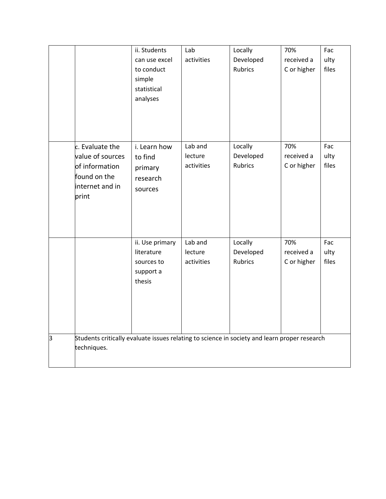|   |                                                                                                             | ii. Students<br>can use excel<br>to conduct<br>simple<br>statistical<br>analyses | Lab<br>activities                | Locally<br>Developed<br><b>Rubrics</b> | 70%<br>received a<br>C or higher | Fac<br>ulty<br>files |
|---|-------------------------------------------------------------------------------------------------------------|----------------------------------------------------------------------------------|----------------------------------|----------------------------------------|----------------------------------|----------------------|
|   | c. Evaluate the<br>value of sources<br>of information<br>found on the<br>internet and in<br>print           | i. Learn how<br>to find<br>primary<br>research<br>sources                        | Lab and<br>lecture<br>activities | Locally<br>Developed<br><b>Rubrics</b> | 70%<br>received a<br>C or higher | Fac<br>ulty<br>files |
|   |                                                                                                             | ii. Use primary<br>literature<br>sources to<br>support a<br>thesis               | Lab and<br>lecture<br>activities | Locally<br>Developed<br><b>Rubrics</b> | 70%<br>received a<br>C or higher | Fac<br>ulty<br>files |
| з | Students critically evaluate issues relating to science in society and learn proper research<br>techniques. |                                                                                  |                                  |                                        |                                  |                      |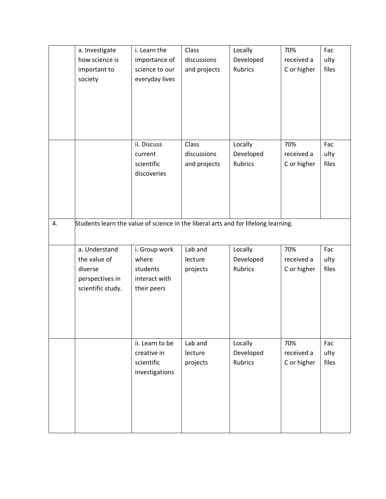|    | a. Investigate                                                                     | i. Learn the              | Class        | Locally                     | 70%         | Fac           |
|----|------------------------------------------------------------------------------------|---------------------------|--------------|-----------------------------|-------------|---------------|
|    | how science is                                                                     | importance of             | discussions  | Developed                   | received a  | ulty          |
|    | important to                                                                       | science to our            | and projects | Rubrics                     | C or higher | files         |
|    | society                                                                            | everyday lives            |              |                             |             |               |
|    |                                                                                    |                           |              |                             |             |               |
|    |                                                                                    |                           |              |                             |             |               |
|    |                                                                                    |                           |              |                             |             |               |
|    |                                                                                    |                           |              |                             |             |               |
|    |                                                                                    |                           |              |                             |             |               |
|    |                                                                                    | ii. Discuss               | Class        | Locally                     | 70%         | Fac           |
|    |                                                                                    |                           | discussions  |                             |             |               |
|    |                                                                                    | current                   |              | Developed<br><b>Rubrics</b> | received a  | ulty<br>files |
|    |                                                                                    | scientific<br>discoveries | and projects |                             | C or higher |               |
|    |                                                                                    |                           |              |                             |             |               |
|    |                                                                                    |                           |              |                             |             |               |
|    |                                                                                    |                           |              |                             |             |               |
|    |                                                                                    |                           |              |                             |             |               |
| 4. | Students learn the value of science in the liberal arts and for lifelong learning. |                           |              |                             |             |               |
|    |                                                                                    |                           |              |                             |             |               |
|    |                                                                                    |                           |              |                             |             |               |
|    | a. Understand                                                                      | i. Group work             | Lab and      | Locally                     | 70%         | Fac           |
|    | the value of                                                                       | where                     | lecture      | Developed                   | received a  | ulty          |
|    | diverse                                                                            | students                  | projects     | Rubrics                     | C or higher | files         |
|    | perspectives in                                                                    | interact with             |              |                             |             |               |
|    | scientific study.                                                                  | their peers               |              |                             |             |               |
|    |                                                                                    |                           |              |                             |             |               |
|    |                                                                                    |                           |              |                             |             |               |
|    |                                                                                    |                           |              |                             |             |               |
|    |                                                                                    |                           |              |                             |             |               |
|    |                                                                                    | ii. Learn to be           | Lab and      | Locally                     | 70%         | Fac           |
|    |                                                                                    | creative in               | lecture      | Developed                   | received a  | ulty          |
|    |                                                                                    | scientific                | projects     | <b>Rubrics</b>              | C or higher | files         |
|    |                                                                                    | investigations            |              |                             |             |               |
|    |                                                                                    |                           |              |                             |             |               |
|    |                                                                                    |                           |              |                             |             |               |
|    |                                                                                    |                           |              |                             |             |               |
|    |                                                                                    |                           |              |                             |             |               |
|    |                                                                                    |                           |              |                             |             |               |
|    |                                                                                    |                           |              |                             |             |               |